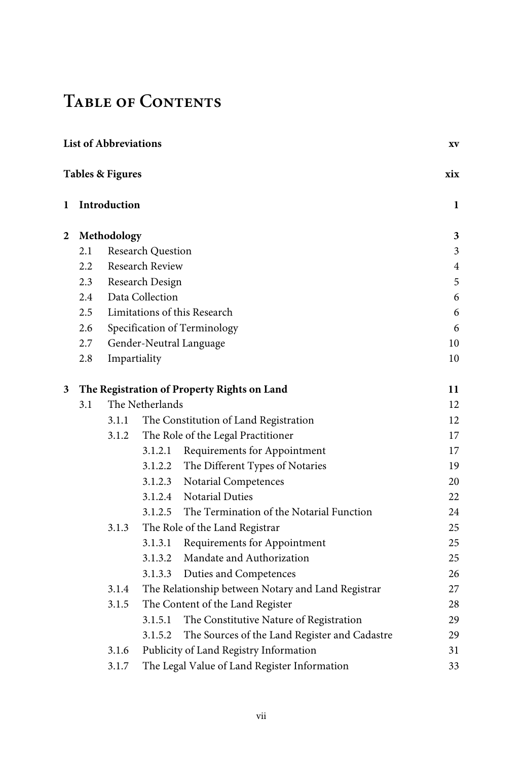## **Table of Contents**

|   |               | <b>List of Abbreviations</b>                                |                   |                                                  | XV  |
|---|---------------|-------------------------------------------------------------|-------------------|--------------------------------------------------|-----|
|   |               | <b>Tables &amp; Figures</b>                                 |                   |                                                  | xix |
| 1 |               | Introduction                                                |                   |                                                  |     |
| 2 |               | Methodology                                                 |                   |                                                  | 3   |
|   | 2.1           |                                                             | Research Question |                                                  | 3   |
|   | $2.2^{\circ}$ |                                                             | Research Review   |                                                  | 4   |
|   | 2.3           |                                                             | Research Design   |                                                  | 5   |
|   | 2.4           |                                                             | Data Collection   |                                                  | 6   |
|   | 2.5           |                                                             |                   | Limitations of this Research                     | 6   |
|   | 2.6           |                                                             |                   | Specification of Terminology                     | 6   |
|   | 2.7           |                                                             |                   | Gender-Neutral Language                          | 10  |
|   | 2.8           | Impartiality                                                |                   |                                                  | 10  |
| 3 |               |                                                             |                   | The Registration of Property Rights on Land      | 11  |
|   | 3.1           |                                                             | The Netherlands   |                                                  | 12  |
|   |               | 3.1.1                                                       |                   | The Constitution of Land Registration            | 12  |
|   |               | 3.1.2                                                       |                   | The Role of the Legal Practitioner               | 17  |
|   |               |                                                             |                   | 3.1.2.1 Requirements for Appointment             | 17  |
|   |               |                                                             |                   | 3.1.2.2 The Different Types of Notaries          | 19  |
|   |               |                                                             |                   | 3.1.2.3 Notarial Competences                     | 20  |
|   |               |                                                             |                   | 3.1.2.4 Notarial Duties                          | 22  |
|   |               |                                                             |                   | 3.1.2.5 The Termination of the Notarial Function | 24  |
|   |               | 3.1.3                                                       |                   | The Role of the Land Registrar                   | 25  |
|   |               |                                                             |                   | 3.1.3.1 Requirements for Appointment             | 25  |
|   |               |                                                             |                   | 3.1.3.2 Mandate and Authorization                | 25  |
|   |               |                                                             |                   | 3.1.3.3 Duties and Competences                   | 26  |
|   |               | The Relationship between Notary and Land Registrar<br>3.1.4 |                   |                                                  | 27  |
|   |               | 3.1.5                                                       |                   | The Content of the Land Register                 | 28  |
|   |               |                                                             | 3.1.5.1           | The Constitutive Nature of Registration          | 29  |
|   |               |                                                             | 3.1.5.2           | The Sources of the Land Register and Cadastre    | 29  |
|   |               | 3.1.6                                                       |                   | Publicity of Land Registry Information           | 31  |
|   |               | 3.1.7                                                       |                   | The Legal Value of Land Register Information     | 33  |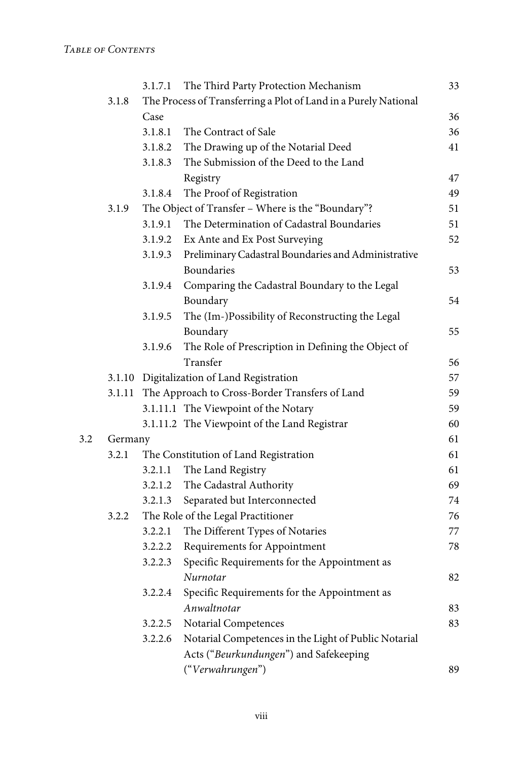|     |         | 3.1.7.1 | The Third Party Protection Mechanism                            | 33 |
|-----|---------|---------|-----------------------------------------------------------------|----|
|     | 3.1.8   |         | The Process of Transferring a Plot of Land in a Purely National |    |
|     |         | Case    |                                                                 | 36 |
|     |         | 3.1.8.1 | The Contract of Sale                                            | 36 |
|     |         | 3.1.8.2 | The Drawing up of the Notarial Deed                             | 41 |
|     |         | 3.1.8.3 | The Submission of the Deed to the Land                          |    |
|     |         |         | Registry                                                        | 47 |
|     |         | 3.1.8.4 | The Proof of Registration                                       | 49 |
|     | 3.1.9   |         | The Object of Transfer - Where is the "Boundary"?               | 51 |
|     |         |         | 3.1.9.1 The Determination of Cadastral Boundaries               | 51 |
|     |         |         | 3.1.9.2 Ex Ante and Ex Post Surveying                           | 52 |
|     |         | 3.1.9.3 | Preliminary Cadastral Boundaries and Administrative             |    |
|     |         |         | Boundaries                                                      | 53 |
|     |         | 3.1.9.4 | Comparing the Cadastral Boundary to the Legal                   |    |
|     |         |         | Boundary                                                        | 54 |
|     |         | 3.1.9.5 | The (Im-)Possibility of Reconstructing the Legal                |    |
|     |         |         | Boundary                                                        | 55 |
|     |         | 3.1.9.6 | The Role of Prescription in Defining the Object of              |    |
|     |         |         | Transfer                                                        | 56 |
|     |         |         | 3.1.10 Digitalization of Land Registration                      | 57 |
|     |         |         | 3.1.11 The Approach to Cross-Border Transfers of Land           | 59 |
|     |         |         | 3.1.11.1 The Viewpoint of the Notary                            | 59 |
|     |         |         | 3.1.11.2 The Viewpoint of the Land Registrar                    | 60 |
| 3.2 | Germany |         |                                                                 | 61 |
|     | 3.2.1   |         | The Constitution of Land Registration                           | 61 |
|     |         | 3.2.1.1 | The Land Registry                                               | 61 |
|     |         | 3.2.1.2 | The Cadastral Authority                                         | 69 |
|     |         |         | 3.2.1.3 Separated but Interconnected                            | 74 |
|     | 3.2.2   |         | The Role of the Legal Practitioner                              | 76 |
|     |         | 3.2.2.1 | The Different Types of Notaries                                 | 77 |
|     |         |         | 3.2.2.2 Requirements for Appointment                            | 78 |
|     |         | 3.2.2.3 | Specific Requirements for the Appointment as                    |    |
|     |         |         | Nurnotar                                                        | 82 |
|     |         | 3.2.2.4 | Specific Requirements for the Appointment as                    |    |
|     |         |         | Anwaltnotar                                                     | 83 |
|     |         | 3.2.2.5 | Notarial Competences                                            | 83 |
|     |         | 3.2.2.6 | Notarial Competences in the Light of Public Notarial            |    |
|     |         |         | Acts ("Beurkundungen") and Safekeeping                          |    |
|     |         |         | ("Verwahrungen")                                                | 89 |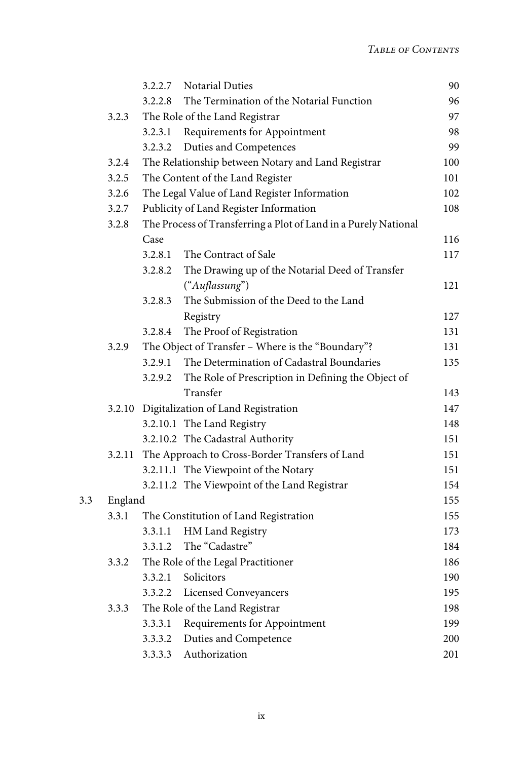|     |         | 3.2.2.7 | <b>Notarial Duties</b>                                          | 90  |
|-----|---------|---------|-----------------------------------------------------------------|-----|
|     |         | 3.2.2.8 | The Termination of the Notarial Function                        | 96  |
|     | 3.2.3   |         | The Role of the Land Registrar                                  | 97  |
|     |         | 3.2.3.1 | Requirements for Appointment                                    | 98  |
|     |         | 3.2.3.2 | Duties and Competences                                          | 99  |
|     | 3.2.4   |         | The Relationship between Notary and Land Registrar              | 100 |
|     | 3.2.5   |         | The Content of the Land Register                                | 101 |
|     | 3.2.6   |         | The Legal Value of Land Register Information                    | 102 |
|     | 3.2.7   |         | Publicity of Land Register Information                          | 108 |
|     | 3.2.8   |         | The Process of Transferring a Plot of Land in a Purely National |     |
|     |         | Case    |                                                                 | 116 |
|     |         | 3.2.8.1 | The Contract of Sale                                            | 117 |
|     |         | 3.2.8.2 | The Drawing up of the Notarial Deed of Transfer                 |     |
|     |         |         | ("Auflassung")                                                  | 121 |
|     |         | 3.2.8.3 | The Submission of the Deed to the Land                          |     |
|     |         |         | Registry                                                        | 127 |
|     |         | 3.2.8.4 | The Proof of Registration                                       | 131 |
|     | 3.2.9   |         | The Object of Transfer - Where is the "Boundary"?               | 131 |
|     |         | 3.2.9.1 | The Determination of Cadastral Boundaries                       | 135 |
|     |         | 3.2.9.2 | The Role of Prescription in Defining the Object of              |     |
|     |         |         | Transfer                                                        | 143 |
|     | 3.2.10  |         | Digitalization of Land Registration                             | 147 |
|     |         |         | 3.2.10.1 The Land Registry                                      | 148 |
|     |         |         | 3.2.10.2 The Cadastral Authority                                | 151 |
|     | 3.2.11  |         | The Approach to Cross-Border Transfers of Land                  | 151 |
|     |         |         | 3.2.11.1 The Viewpoint of the Notary                            | 151 |
|     |         |         | 3.2.11.2 The Viewpoint of the Land Registrar                    | 154 |
| 3.3 | England |         |                                                                 | 155 |
|     | 3.3.1   |         | The Constitution of Land Registration                           | 155 |
|     |         | 3.3.1.1 | HM Land Registry                                                | 173 |
|     |         | 3.3.1.2 | The "Cadastre"                                                  | 184 |
|     | 3.3.2   |         | The Role of the Legal Practitioner                              | 186 |
|     |         | 3.3.2.1 | Solicitors                                                      | 190 |
|     |         |         | 3.3.2.2 Licensed Conveyancers                                   | 195 |
|     | 3.3.3   |         | The Role of the Land Registrar                                  | 198 |
|     |         | 3.3.3.1 | Requirements for Appointment                                    | 199 |
|     |         | 3.3.3.2 | Duties and Competence                                           | 200 |
|     |         | 3.3.3.3 | Authorization                                                   | 201 |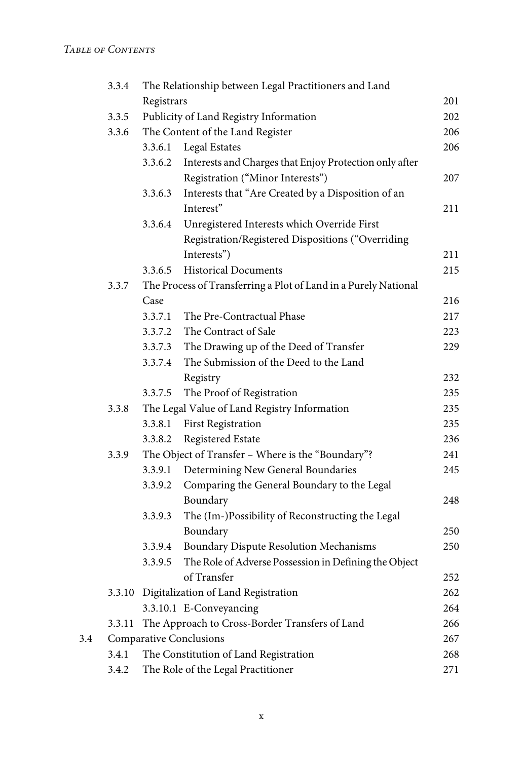|     | 3.3.4                                 | The Relationship between Legal Practitioners and Land |                                                                 |     |  |  |
|-----|---------------------------------------|-------------------------------------------------------|-----------------------------------------------------------------|-----|--|--|
|     |                                       | Registrars                                            |                                                                 |     |  |  |
|     | 3.3.5                                 | Publicity of Land Registry Information                |                                                                 |     |  |  |
|     | 3.3.6                                 | The Content of the Land Register                      |                                                                 |     |  |  |
|     |                                       | 3.3.6.1                                               | Legal Estates                                                   | 206 |  |  |
|     |                                       | 3.3.6.2                                               | Interests and Charges that Enjoy Protection only after          |     |  |  |
|     |                                       |                                                       | Registration ("Minor Interests")                                | 207 |  |  |
|     |                                       | 3.3.6.3                                               | Interests that "Are Created by a Disposition of an              |     |  |  |
|     |                                       |                                                       | Interest"                                                       | 211 |  |  |
|     |                                       | 3.3.6.4                                               | Unregistered Interests which Override First                     |     |  |  |
|     |                                       |                                                       | Registration/Registered Dispositions ("Overriding               |     |  |  |
|     |                                       |                                                       | Interests")                                                     | 211 |  |  |
|     |                                       | 3.3.6.5                                               | <b>Historical Documents</b>                                     | 215 |  |  |
|     | 3.3.7                                 |                                                       | The Process of Transferring a Plot of Land in a Purely National |     |  |  |
|     |                                       | Case                                                  |                                                                 | 216 |  |  |
|     |                                       | 3.3.7.1                                               | The Pre-Contractual Phase                                       | 217 |  |  |
|     |                                       | 3.3.7.2                                               | The Contract of Sale                                            | 223 |  |  |
|     |                                       | 3.3.7.3                                               | The Drawing up of the Deed of Transfer                          | 229 |  |  |
|     |                                       | 3.3.7.4                                               | The Submission of the Deed to the Land                          |     |  |  |
|     |                                       |                                                       | Registry                                                        | 232 |  |  |
|     |                                       | 3.3.7.5                                               | The Proof of Registration                                       | 235 |  |  |
|     | 3.3.8                                 |                                                       | The Legal Value of Land Registry Information                    | 235 |  |  |
|     |                                       | 3.3.8.1                                               | <b>First Registration</b>                                       | 235 |  |  |
|     |                                       | 3.3.8.2                                               | Registered Estate                                               | 236 |  |  |
|     | 3.3.9                                 | The Object of Transfer - Where is the "Boundary"?     |                                                                 |     |  |  |
|     |                                       | 3.3.9.1                                               | Determining New General Boundaries                              | 245 |  |  |
|     |                                       | 3.3.9.2                                               | Comparing the General Boundary to the Legal                     |     |  |  |
|     |                                       |                                                       | Boundary                                                        | 248 |  |  |
|     |                                       | 3.3.9.3                                               | The (Im-)Possibility of Reconstructing the Legal                |     |  |  |
|     |                                       |                                                       | Boundary                                                        | 250 |  |  |
|     |                                       | 3.3.9.4                                               | Boundary Dispute Resolution Mechanisms                          | 250 |  |  |
|     |                                       | 3.3.9.5                                               | The Role of Adverse Possession in Defining the Object           |     |  |  |
|     |                                       |                                                       | of Transfer                                                     | 252 |  |  |
|     |                                       |                                                       | 3.3.10 Digitalization of Land Registration                      | 262 |  |  |
|     |                                       |                                                       | 3.3.10.1 E-Conveyancing                                         | 264 |  |  |
|     | 3.3.11                                |                                                       | The Approach to Cross-Border Transfers of Land                  | 266 |  |  |
| 3.4 | <b>Comparative Conclusions</b><br>267 |                                                       |                                                                 |     |  |  |
|     | 3.4.1                                 | The Constitution of Land Registration<br>268          |                                                                 |     |  |  |
|     | 3.4.2                                 | The Role of the Legal Practitioner<br>271             |                                                                 |     |  |  |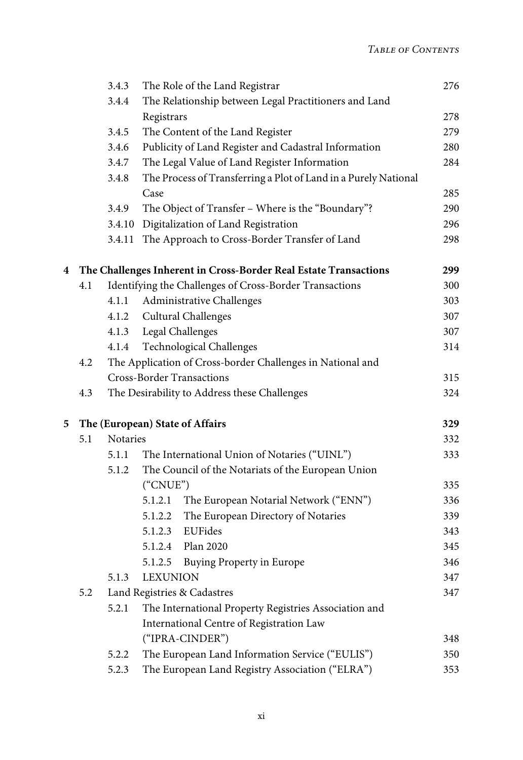|     |     | 3.4.3    | The Role of the Land Registrar                                   | 276 |
|-----|-----|----------|------------------------------------------------------------------|-----|
|     |     | 3.4.4    | The Relationship between Legal Practitioners and Land            |     |
|     |     |          | Registrars                                                       | 278 |
|     |     | 3.4.5    | The Content of the Land Register                                 | 279 |
|     |     | 3.4.6    | Publicity of Land Register and Cadastral Information             | 280 |
|     |     | 3.4.7    | The Legal Value of Land Register Information                     | 284 |
|     |     | 3.4.8    | The Process of Transferring a Plot of Land in a Purely National  |     |
|     |     |          | Case                                                             | 285 |
|     |     | 3.4.9    | The Object of Transfer - Where is the "Boundary"?                | 290 |
|     |     | 3.4.10   | Digitalization of Land Registration                              | 296 |
|     |     | 3.4.11   | The Approach to Cross-Border Transfer of Land                    | 298 |
| 4   |     |          | The Challenges Inherent in Cross-Border Real Estate Transactions | 299 |
|     | 4.1 |          | Identifying the Challenges of Cross-Border Transactions          | 300 |
|     |     | 4.1.1    | Administrative Challenges                                        | 303 |
|     |     | 4.1.2    | Cultural Challenges                                              | 307 |
|     |     | 4.1.3    | Legal Challenges                                                 | 307 |
|     |     | 4.1.4    | Technological Challenges                                         | 314 |
| 4.2 |     |          | The Application of Cross-border Challenges in National and       |     |
|     |     |          | <b>Cross-Border Transactions</b>                                 | 315 |
|     | 4.3 |          | The Desirability to Address these Challenges                     | 324 |
| 5   |     |          | The (European) State of Affairs                                  | 329 |
|     | 5.1 | Notaries |                                                                  | 332 |
|     |     | 5.1.1    | The International Union of Notaries ("UINL")                     | 333 |
|     |     | 5.1.2    | The Council of the Notariats of the European Union               |     |
|     |     |          | ("CNUE")                                                         | 335 |
|     |     |          | 5.1.2.1<br>The European Notarial Network ("ENN")                 | 336 |
|     |     |          | 5.1.2.2<br>The European Directory of Notaries                    | 339 |
|     |     |          | EUFides<br>5.1.2.3                                               | 343 |
|     |     |          | 5.1.2.4 Plan 2020                                                | 345 |
|     |     |          | 5.1.2.5<br><b>Buying Property in Europe</b>                      | 346 |
|     |     | 5.1.3    | <b>LEXUNION</b>                                                  | 347 |
|     | 5.2 |          | Land Registries & Cadastres                                      | 347 |
|     |     | 5.2.1    | The International Property Registries Association and            |     |
|     |     |          | International Centre of Registration Law                         |     |
|     |     |          | ("IPRA-CINDER")                                                  | 348 |
|     |     | 5.2.2    | The European Land Information Service ("EULIS")                  | 350 |
|     |     | 5.2.3    | The European Land Registry Association ("ELRA")                  | 353 |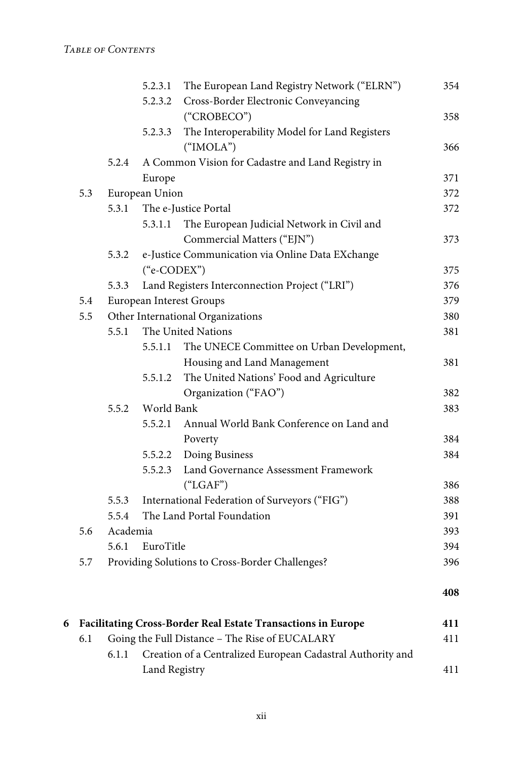|     |          | 5.2.3.1        | The European Land Registry Network ("ELRN")       | 354 |
|-----|----------|----------------|---------------------------------------------------|-----|
|     |          | 5.2.3.2        | Cross-Border Electronic Conveyancing              |     |
|     |          |                | ("CROBECO")                                       | 358 |
|     |          | 5.2.3.3        | The Interoperability Model for Land Registers     |     |
|     |          |                | ("IMOLA")                                         | 366 |
|     | 5.2.4    |                | A Common Vision for Cadastre and Land Registry in |     |
|     |          | Europe         |                                                   | 371 |
| 5.3 |          | European Union |                                                   | 372 |
|     | 5.3.1    |                | The e-Justice Portal                              | 372 |
|     |          | 5.3.1.1        | The European Judicial Network in Civil and        |     |
|     |          |                | Commercial Matters ("EJN")                        | 373 |
|     | 5.3.2    |                | e-Justice Communication via Online Data EXchange  |     |
|     |          | ("e-CODEX")    |                                                   | 375 |
|     | 5.3.3    |                | Land Registers Interconnection Project ("LRI")    | 376 |
| 5.4 |          |                | European Interest Groups                          | 379 |
| 5.5 |          |                | Other International Organizations                 | 380 |
|     | 5.5.1    |                | The United Nations                                | 381 |
|     |          | 5.5.1.1        | The UNECE Committee on Urban Development,         |     |
|     |          |                | Housing and Land Management                       | 381 |
|     |          | 5.5.1.2        | The United Nations' Food and Agriculture          |     |
|     |          |                | Organization ("FAO")                              | 382 |
|     | 5.5.2    | World Bank     |                                                   | 383 |
|     |          | 5.5.2.1        | Annual World Bank Conference on Land and          |     |
|     |          |                | Poverty                                           | 384 |
|     |          | 5.5.2.2        | Doing Business                                    | 384 |
|     |          | 5.5.2.3        | Land Governance Assessment Framework              |     |
|     |          |                | ("LGAF")                                          | 386 |
|     | 5.5.3    |                | International Federation of Surveyors ("FIG")     | 388 |
|     | 5.5.4    |                | The Land Portal Foundation                        | 391 |
| 5.6 | Academia |                |                                                   | 393 |
|     | 5.6.1    | EuroTitle      |                                                   | 394 |
| 5.7 |          |                | Providing Solutions to Cross-Border Challenges?   | 396 |
|     |          |                |                                                   | 408 |
|     |          |                |                                                   |     |

| 6 Facilitating Cross-Border Real Estate Transactions in Europe |                                                |                                                            |     |
|----------------------------------------------------------------|------------------------------------------------|------------------------------------------------------------|-----|
| 6.1                                                            | Going the Full Distance - The Rise of EUCALARY |                                                            | 411 |
|                                                                | 6.1.1                                          | Creation of a Centralized European Cadastral Authority and |     |
|                                                                |                                                | Land Registry                                              | 411 |